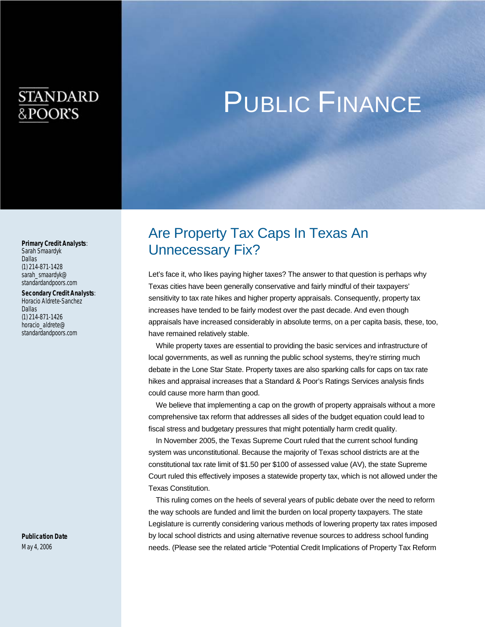# **STANDARD** &POOR'S

# PUBLIC FINANCE

#### *Primary Credit Analysts*:

Sarah Smaardyk Dallas (1) 214-871-1428 sarah\_smaardyk@ standardandpoors.com

#### *Secondary Credit Analysts*:

Horacio Aldrete-Sanchez Dallas (1) 214-871-1426 horacio\_aldrete@ standardandpoors.com

*Publication Date*  May 4, 2006

# Are Property Tax Caps In Texas An Unnecessary Fix?

Let's face it, who likes paying higher taxes? The answer to that question is perhaps why Texas cities have been generally conservative and fairly mindful of their taxpayers' sensitivity to tax rate hikes and higher property appraisals. Consequently, property tax increases have tended to be fairly modest over the past decade. And even though appraisals have increased considerably in absolute terms, on a per capita basis, these, too, have remained relatively stable.

While property taxes are essential to providing the basic services and infrastructure of local governments, as well as running the public school systems, they're stirring much debate in the Lone Star State. Property taxes are also sparking calls for caps on tax rate hikes and appraisal increases that a Standard & Poor's Ratings Services analysis finds could cause more harm than good.

We believe that implementing a cap on the growth of property appraisals without a more comprehensive tax reform that addresses all sides of the budget equation could lead to fiscal stress and budgetary pressures that might potentially harm credit quality.

In November 2005, the Texas Supreme Court ruled that the current school funding system was unconstitutional. Because the majority of Texas school districts are at the constitutional tax rate limit of \$1.50 per \$100 of assessed value (AV), the state Supreme Court ruled this effectively imposes a statewide property tax, which is not allowed under the Texas Constitution.

This ruling comes on the heels of several years of public debate over the need to reform the way schools are funded and limit the burden on local property taxpayers. The state Legislature is currently considering various methods of lowering property tax rates imposed by local school districts and using alternative revenue sources to address school funding needs. (Please see the related article "Potential Credit Implications of Property Tax Reform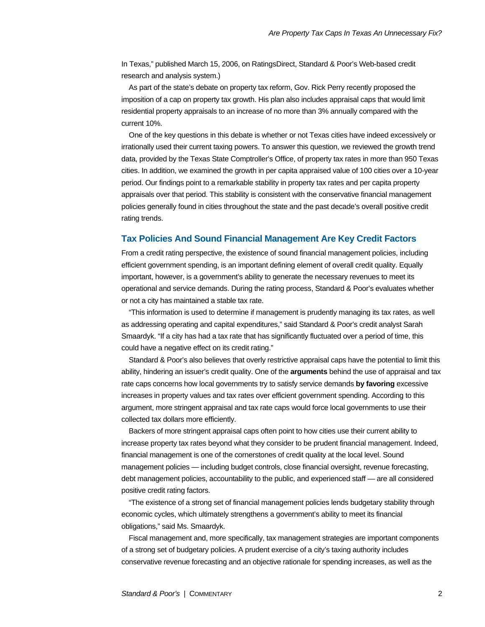In Texas," published March 15, 2006, on RatingsDirect, Standard & Poor's Web-based credit research and analysis system.)

As part of the state's debate on property tax reform, Gov. Rick Perry recently proposed the imposition of a cap on property tax growth. His plan also includes appraisal caps that would limit residential property appraisals to an increase of no more than 3% annually compared with the current 10%.

One of the key questions in this debate is whether or not Texas cities have indeed excessively or irrationally used their current taxing powers. To answer this question, we reviewed the growth trend data, provided by the Texas State Comptroller's Office, of property tax rates in more than 950 Texas cities. In addition, we examined the growth in per capita appraised value of 100 cities over a 10-year period. Our findings point to a remarkable stability in property tax rates and per capita property appraisals over that period. This stability is consistent with the conservative financial management policies generally found in cities throughout the state and the past decade's overall positive credit rating trends.

#### **Tax Policies And Sound Financial Management Are Key Credit Factors**

From a credit rating perspective, the existence of sound financial management policies, including efficient government spending, is an important defining element of overall credit quality. Equally important, however, is a government's ability to generate the necessary revenues to meet its operational and service demands. During the rating process, Standard & Poor's evaluates whether or not a city has maintained a stable tax rate.

"This information is used to determine if management is prudently managing its tax rates, as well as addressing operating and capital expenditures," said Standard & Poor's credit analyst Sarah Smaardyk. "If a city has had a tax rate that has significantly fluctuated over a period of time, this could have a negative effect on its credit rating."

Standard & Poor's also believes that overly restrictive appraisal caps have the potential to limit this ability, hindering an issuer's credit quality. One of the **arguments** behind the use of appraisal and tax rate caps concerns how local governments try to satisfy service demands **by favoring** excessive increases in property values and tax rates over efficient government spending. According to this argument, more stringent appraisal and tax rate caps would force local governments to use their collected tax dollars more efficiently.

Backers of more stringent appraisal caps often point to how cities use their current ability to increase property tax rates beyond what they consider to be prudent financial management. Indeed, financial management is one of the cornerstones of credit quality at the local level. Sound management policies — including budget controls, close financial oversight, revenue forecasting, debt management policies, accountability to the public, and experienced staff — are all considered positive credit rating factors.

"The existence of a strong set of financial management policies lends budgetary stability through economic cycles, which ultimately strengthens a government's ability to meet its financial obligations," said Ms. Smaardyk.

Fiscal management and, more specifically, tax management strategies are important components of a strong set of budgetary policies. A prudent exercise of a city's taxing authority includes conservative revenue forecasting and an objective rationale for spending increases, as well as the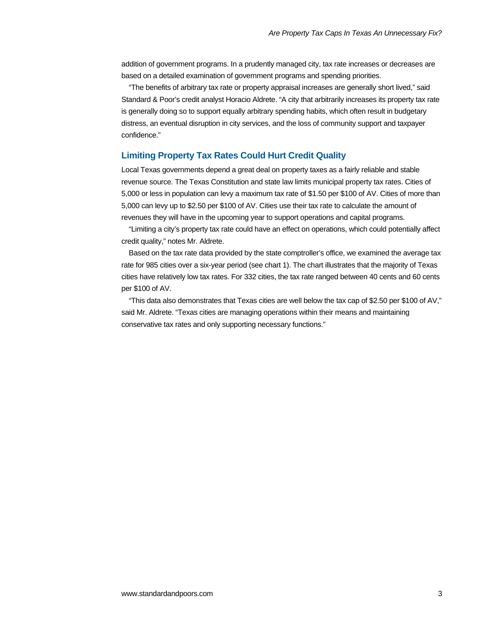addition of government programs. In a prudently managed city, tax rate increases or decreases are based on a detailed examination of government programs and spending priorities.

"The benefits of arbitrary tax rate or property appraisal increases are generally short lived," said Standard & Poor's credit analyst Horacio Aldrete. "A city that arbitrarily increases its property tax rate is generally doing so to support equally arbitrary spending habits, which often result in budgetary distress, an eventual disruption in city services, and the loss of community support and taxpayer confidence."

#### **Limiting Property Tax Rates Could Hurt Credit Quality**

Local Texas governments depend a great deal on property taxes as a fairly reliable and stable revenue source. The Texas Constitution and state law limits municipal property tax rates. Cities of 5,000 or less in population can levy a maximum tax rate of \$1.50 per \$100 of AV. Cities of more than 5,000 can levy up to \$2.50 per \$100 of AV. Cities use their tax rate to calculate the amount of revenues they will have in the upcoming year to support operations and capital programs.

"Limiting a city's property tax rate could have an effect on operations, which could potentially affect credit quality," notes Mr. Aldrete.

Based on the tax rate data provided by the state comptroller's office, we examined the average tax rate for 985 cities over a six-year period (see chart 1). The chart illustrates that the majority of Texas cities have relatively low tax rates. For 332 cities, the tax rate ranged between 40 cents and 60 cents per \$100 of AV.

"This data also demonstrates that Texas cities are well below the tax cap of \$2.50 per \$100 of AV," said Mr. Aldrete. "Texas cities are managing operations within their means and maintaining conservative tax rates and only supporting necessary functions."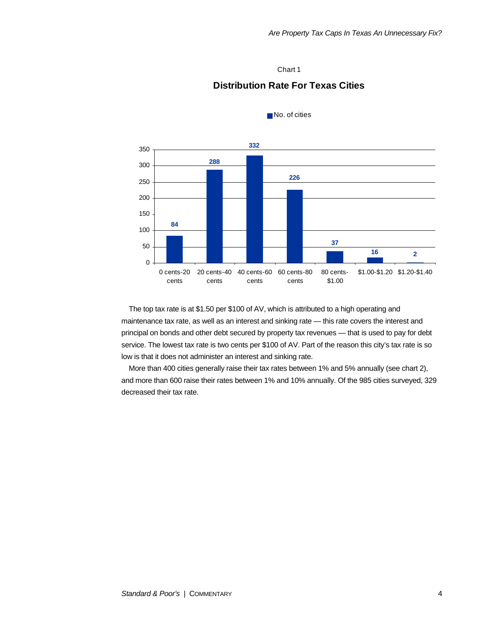#### Chart 1

## **Distribution Rate For Texas Cities**



No. of cities

The top tax rate is at \$1.50 per \$100 of AV, which is attributed to a high operating and maintenance tax rate, as well as an interest and sinking rate — this rate covers the interest and principal on bonds and other debt secured by property tax revenues — that is used to pay for debt service. The lowest tax rate is two cents per \$100 of AV. Part of the reason this city's tax rate is so low is that it does not administer an interest and sinking rate.

More than 400 cities generally raise their tax rates between 1% and 5% annually (see chart 2), and more than 600 raise their rates between 1% and 10% annually. Of the 985 cities surveyed, 329 decreased their tax rate.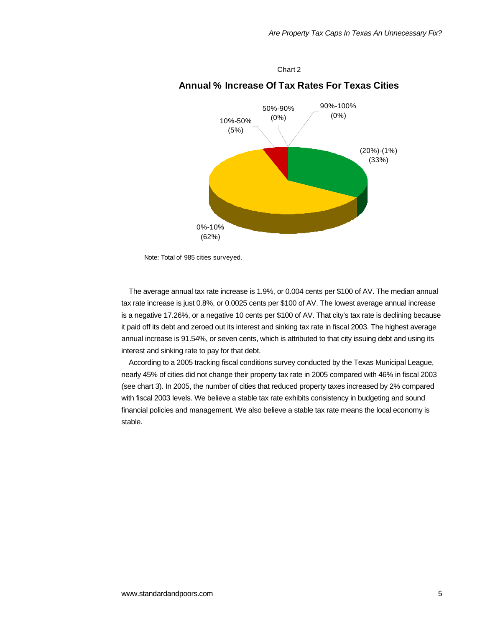(20%)-(1%) (33%) 0%-10% (62%) 10%-50% (5%) 50%-90% (0%) 90%-100% (0%)

## **Annual % Increase Of Tax Rates For Texas Cities**

Chart 2

Note: Total of 985 cities surveyed.

The average annual tax rate increase is 1.9%, or 0.004 cents per \$100 of AV. The median annual tax rate increase is just 0.8%, or 0.0025 cents per \$100 of AV. The lowest average annual increase is a negative 17.26%, or a negative 10 cents per \$100 of AV. That city's tax rate is declining because it paid off its debt and zeroed out its interest and sinking tax rate in fiscal 2003. The highest average annual increase is 91.54%, or seven cents, which is attributed to that city issuing debt and using its interest and sinking rate to pay for that debt.

According to a 2005 tracking fiscal conditions survey conducted by the Texas Municipal League, nearly 45% of cities did not change their property tax rate in 2005 compared with 46% in fiscal 2003 (see chart 3). In 2005, the number of cities that reduced property taxes increased by 2% compared with fiscal 2003 levels. We believe a stable tax rate exhibits consistency in budgeting and sound financial policies and management. We also believe a stable tax rate means the local economy is stable.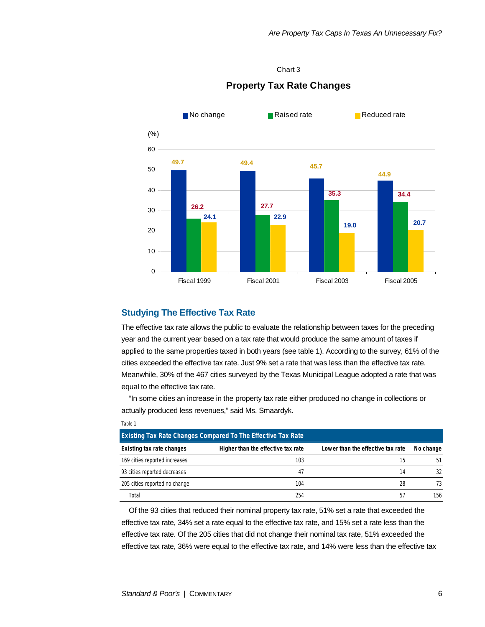#### Chart 3



### **Property Tax Rate Changes**

#### **Studying The Effective Tax Rate**

The effective tax rate allows the public to evaluate the relationship between taxes for the preceding year and the current year based on a tax rate that would produce the same amount of taxes if applied to the same properties taxed in both years (see table 1). According to the survey, 61% of the cities exceeded the effective tax rate. Just 9% set a rate that was less than the effective tax rate. Meanwhile, 30% of the 467 cities surveyed by the Texas Municipal League adopted a rate that was equal to the effective tax rate.

"In some cities an increase in the property tax rate either produced no change in collections or actually produced less revenues," said Ms. Smaardyk.

| Table 1                                                             |                                    |                                   |           |
|---------------------------------------------------------------------|------------------------------------|-----------------------------------|-----------|
| <b>Existing Tax Rate Changes Compared To The Effective Tax Rate</b> |                                    |                                   |           |
| Existing tax rate changes                                           | Higher than the effective tax rate | Lower than the effective tax rate | No change |
| 169 cities reported increases                                       | 103                                | 15                                | 51        |
| 93 cities reported decreases                                        | 47                                 | 14                                | 32        |
| 205 cities reported no change                                       | 104                                | 28                                | 73        |
| Total                                                               | 254                                | 57                                | 156       |

Of the 93 cities that reduced their nominal property tax rate, 51% set a rate that exceeded the effective tax rate, 34% set a rate equal to the effective tax rate, and 15% set a rate less than the effective tax rate. Of the 205 cities that did not change their nominal tax rate, 51% exceeded the effective tax rate, 36% were equal to the effective tax rate, and 14% were less than the effective tax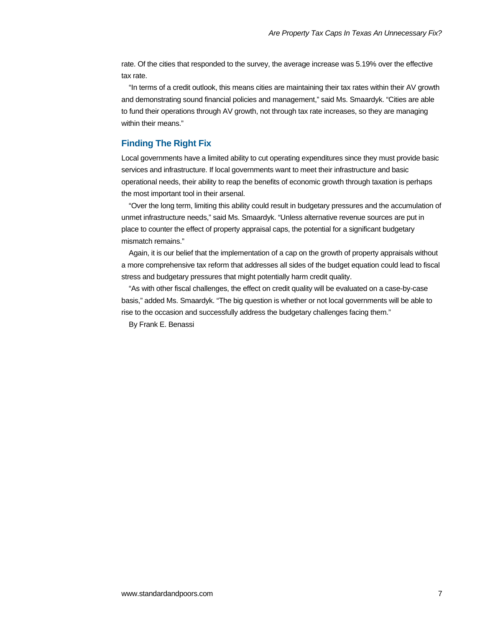rate. Of the cities that responded to the survey, the average increase was 5.19% over the effective tax rate.

"In terms of a credit outlook, this means cities are maintaining their tax rates within their AV growth and demonstrating sound financial policies and management," said Ms. Smaardyk. "Cities are able to fund their operations through AV growth, not through tax rate increases, so they are managing within their means."

### **Finding The Right Fix**

Local governments have a limited ability to cut operating expenditures since they must provide basic services and infrastructure. If local governments want to meet their infrastructure and basic operational needs, their ability to reap the benefits of economic growth through taxation is perhaps the most important tool in their arsenal.

"Over the long term, limiting this ability could result in budgetary pressures and the accumulation of unmet infrastructure needs," said Ms. Smaardyk. "Unless alternative revenue sources are put in place to counter the effect of property appraisal caps, the potential for a significant budgetary mismatch remains."

Again, it is our belief that the implementation of a cap on the growth of property appraisals without a more comprehensive tax reform that addresses all sides of the budget equation could lead to fiscal stress and budgetary pressures that might potentially harm credit quality.

"As with other fiscal challenges, the effect on credit quality will be evaluated on a case-by-case basis," added Ms. Smaardyk. "The big question is whether or not local governments will be able to rise to the occasion and successfully address the budgetary challenges facing them."

By Frank E. Benassi